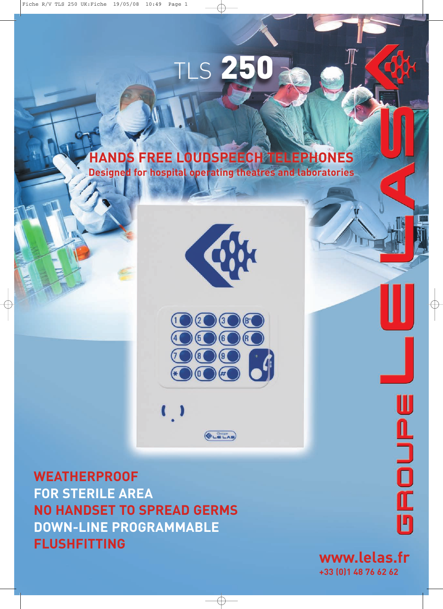# TLS **250**

# **HANDS FREE LOUDSPEECH TELEPHONES**

**Designed for hospital operating theatres and laboratories**





 $(\bigotimes_{L \in LAS})$ 

**WEATHERPROOF FOR STERILE AREA NO HANDSET TO SPREAD GERMS DOWN-LINE PROGRAMMABLE FLUSHFITTING**

 $\sqrt{ }$ 

**UROUPE** 

◀

**www.lelas.fr +33 (0)1 48 76 62 62**